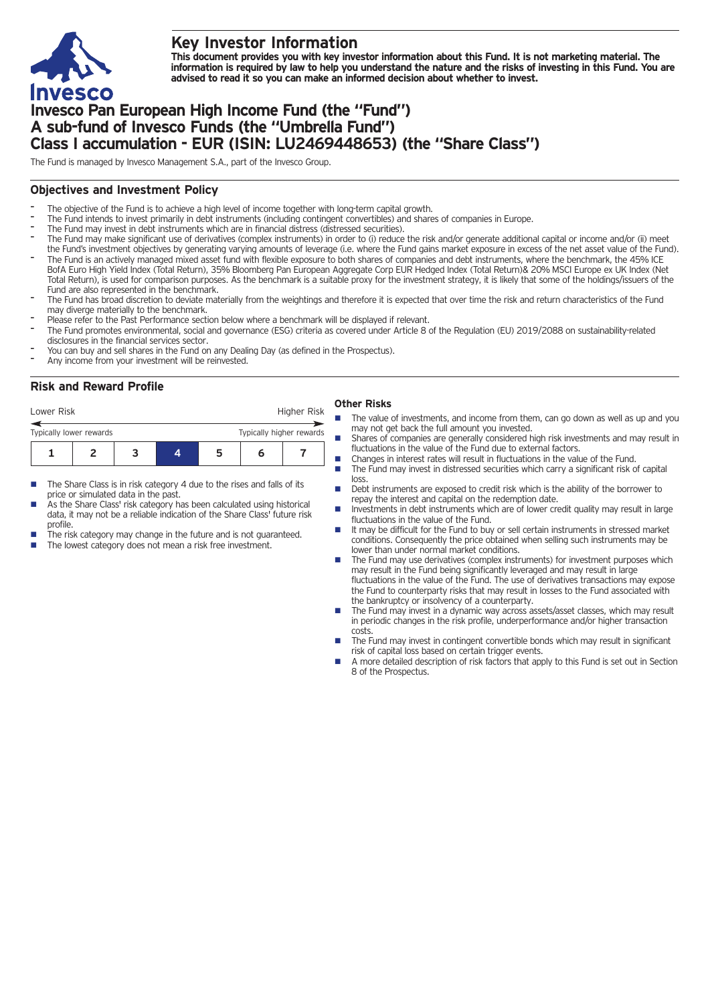

## **Key Investor Information**

This document provides you with key investor information about this Fund. It is not marketing material. The information is required by law to help you understand the nature and the risks of investing in this Fund. You are **advised to read it so you can make an informed decision about whether to invest.**

# **Invesco Pan European High Income Fund (the "Fund") A sub-fund of Invesco Funds (the "Umbrella Fund") Class I accumulation - EUR (ISIN: LU2469448653) (the "Share Class")**

The Fund is managed by Invesco Management S.A., part of the Invesco Group.

## **Objectives and Investment Policy**

- The objective of the Fund is to achieve a high level of income together with long-term capital growth.
- The Fund intends to invest primarily in debt instruments (including contingent convertibles) and shares of companies in Europe.
- The Fund may invest in debt instruments which are in financial distress (distressed securities).
- The Fund may make significant use of derivatives (complex instruments) in order to (i) reduce the risk and/or generate additional capital or income and/or (ii) meet the Fund's investment objectives by generating varying amounts of leverage (i.e. where the Fund gains market exposure in excess of the net asset value of the Fund).
- The Fund is an actively managed mixed asset fund with flexible exposure to both shares of companies and debt instruments, where the benchmark, the 45% ICE BofA Euro High Yield Index (Total Return), 35% Bloomberg Pan European Aggregate Corp EUR Hedged Index (Total Return)& 20% MSCI Europe ex UK Index (Net Total Return), is used for comparison purposes. As the benchmark is a suitable proxy for the investment strategy, it is likely that some of the holdings/issuers of the Fund are also represented in the benchmark.
- The Fund has broad discretion to deviate materially from the weightings and therefore it is expected that over time the risk and return characteristics of the Fund may diverge materially to the benchmark.
- Please refer to the Past Performance section below where a benchmark will be displayed if relevant.
	- The Fund promotes environmental, social and governance (ESG) criteria as covered under Article 8 of the Regulation (EU) 2019/2088 on sustainability-related disclosures in the financial services sector.
- You can buy and sell shares in the Fund on any Dealing Day (as defined in the Prospectus).
- Any income from your investment will be reinvested.

# **Risk and Reward Profile**

| Lower Risk              |  |                          |   | Higher Risk |  |
|-------------------------|--|--------------------------|---|-------------|--|
| Typically lower rewards |  | Typically higher rewards |   |             |  |
|                         |  | 4                        | ב |             |  |

- The Share Class is in risk category 4 due to the rises and falls of its price or simulated data in the past.
- As the Share Class' risk category has been calculated using historical data, it may not be a reliable indication of the Share Class' future risk profile.
- The risk category may change in the future and is not guaranteed.
- The lowest category does not mean a risk free investment.

## **Other Risks**

- The value of investments, and income from them, can go down as well as up and you may not get back the full amount you invested.
- Shares of companies are generally considered high risk investments and may result in fluctuations in the value of the Fund due to external factors.
- **n** Changes in interest rates will result in fluctuations in the value of the Fund.<br> **n** The Fund may invest in distressed securities which carry a significant risk of
	- The Fund may invest in distressed securities which carry a significant risk of capital loss.
- n Debt instruments are exposed to credit risk which is the ability of the borrower to repay the interest and capital on the redemption date.
- n Investments in debt instruments which are of lower credit quality may result in large fluctuations in the value of the Fund.
- It may be difficult for the Fund to buy or sell certain instruments in stressed market conditions. Consequently the price obtained when selling such instruments may be lower than under normal market conditions.
- The Fund may use derivatives (complex instruments) for investment purposes which may result in the Fund being significantly leveraged and may result in large fluctuations in the value of the Fund. The use of derivatives transactions may expose the Fund to counterparty risks that may result in losses to the Fund associated with the bankruptcy or insolvency of a counterparty.
- The Fund may invest in a dynamic way across assets/asset classes, which may result in periodic changes in the risk profile, underperformance and/or higher transaction costs.
- The Fund may invest in contingent convertible bonds which may result in significant risk of capital loss based on certain trigger events.
- A more detailed description of risk factors that apply to this Fund is set out in Section 8 of the Prospectus.